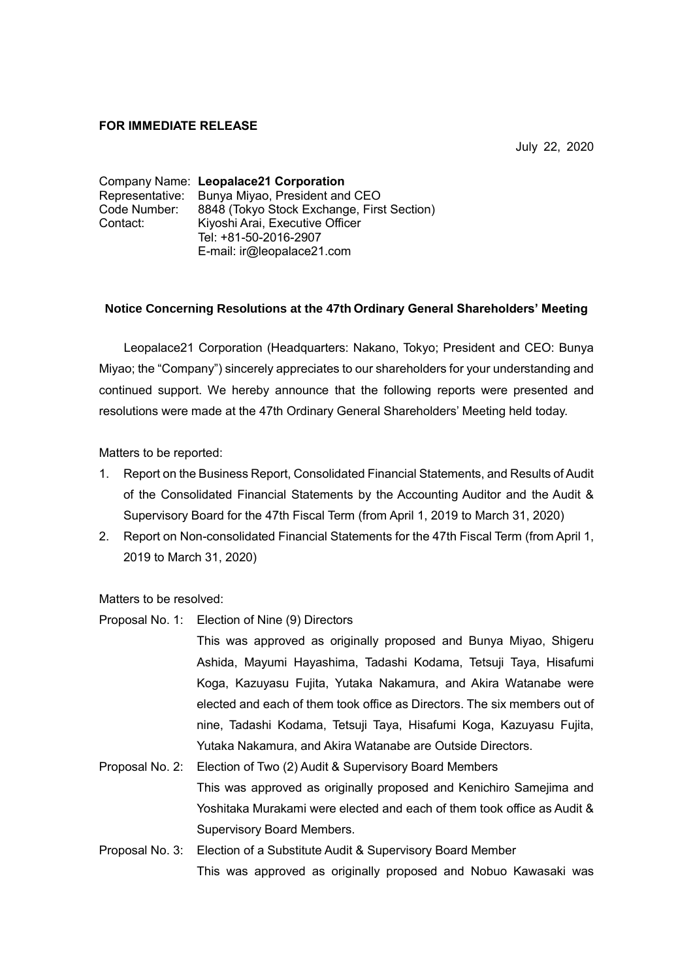## **FOR IMMEDIATE RELEASE**

July 22, 2020

Company Name: **Leopalace21 Corporation** Representative: Bunya Miyao, President and CEO Code Number: 8848 (Tokyo Stock Exchange, First Section) Contact: Kiyoshi Arai, Executive Officer Tel: +81-50-2016-2907 E-mail: ir@leopalace21.com

## **Notice Concerning Resolutions at the 47th Ordinary General Shareholders' Meeting**

Leopalace21 Corporation (Headquarters: Nakano, Tokyo; President and CEO: Bunya Miyao; the "Company") sincerely appreciates to our shareholders for your understanding and continued support. We hereby announce that the following reports were presented and resolutions were made at the 47th Ordinary General Shareholders' Meeting held today.

Matters to be reported:

- 1. Report on the Business Report, Consolidated Financial Statements, and Results of Audit of the Consolidated Financial Statements by the Accounting Auditor and the Audit & Supervisory Board for the 47th Fiscal Term (from April 1, 2019 to March 31, 2020)
- 2. Report on Non-consolidated Financial Statements for the 47th Fiscal Term (from April 1, 2019 to March 31, 2020)

Matters to be resolved:

Proposal No. 1: Election of Nine (9) Directors

This was approved as originally proposed and Bunya Miyao, Shigeru Ashida, Mayumi Hayashima, Tadashi Kodama, Tetsuji Taya, Hisafumi Koga, Kazuyasu Fujita, Yutaka Nakamura, and Akira Watanabe were elected and each of them took office as Directors. The six members out of nine, Tadashi Kodama, Tetsuji Taya, Hisafumi Koga, Kazuyasu Fujita, Yutaka Nakamura, and Akira Watanabe are Outside Directors.

- Proposal No. 2: Election of Two (2) Audit & Supervisory Board Members This was approved as originally proposed and Kenichiro Samelima and Yoshitaka Murakami were elected and each of them took office as Audit & Supervisory Board Members.
- Proposal No. 3: Election of a Substitute Audit & Supervisory Board Member This was approved as originally proposed and Nobuo Kawasaki was